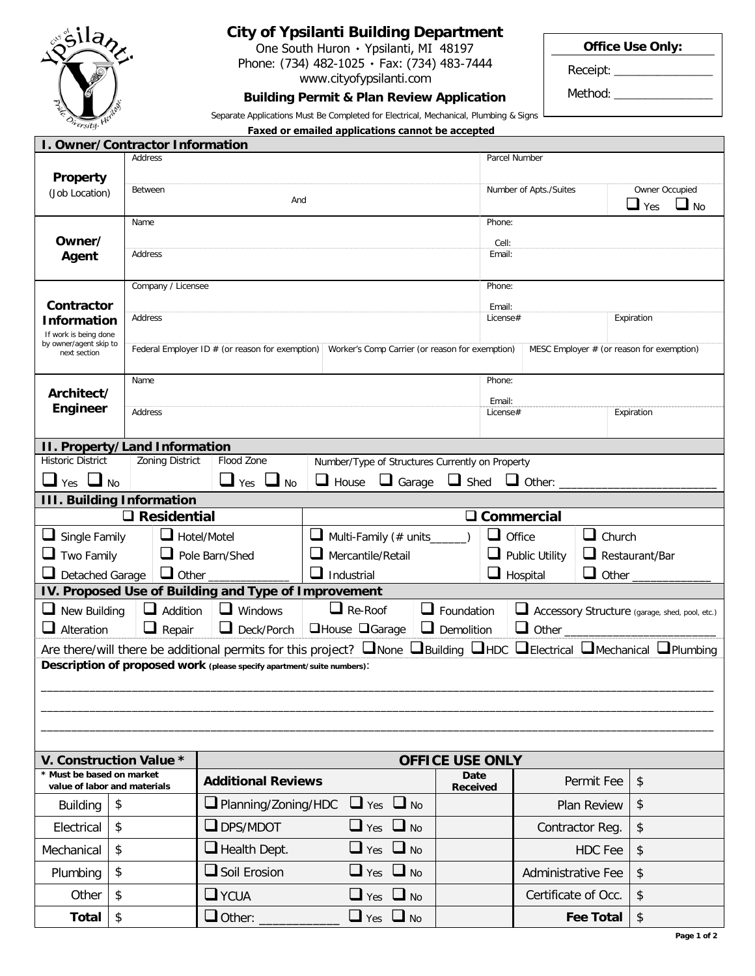

## **City of Ypsilanti Building Department**

One South Huron ۰ Ypsilanti, MI 48197 Phone: (734) 482-1025 · Fax: (734) 483-7444 www.cityofypsilanti.com

**Building Permit & Plan Review Application** Separate Applications Must Be Completed for Electrical, Mechanical, Plumbing & Signs **Office Use Only:**

Receipt: \_\_\_\_\_\_\_\_\_\_\_\_\_\_\_\_

Method: \_\_

| <i>ersity</i>                                                                                                                                           |                                      |                                                                                                                                                     | Faxed or emailed applications cannot be accepted |                                     |                                         |                           |                                                |  |
|---------------------------------------------------------------------------------------------------------------------------------------------------------|--------------------------------------|-----------------------------------------------------------------------------------------------------------------------------------------------------|--------------------------------------------------|-------------------------------------|-----------------------------------------|---------------------------|------------------------------------------------|--|
|                                                                                                                                                         | I. Owner/Contractor Information      |                                                                                                                                                     |                                                  |                                     |                                         |                           |                                                |  |
| <b>Property</b>                                                                                                                                         | Address                              |                                                                                                                                                     |                                                  |                                     | Parcel Number                           |                           |                                                |  |
| (Job Location)                                                                                                                                          | Between                              | And                                                                                                                                                 |                                                  |                                     | Number of Apts./Suites                  |                           | Owner Occupied<br>$\Box$ Yes<br>$\Box$ No      |  |
|                                                                                                                                                         | Name                                 |                                                                                                                                                     |                                                  |                                     | Phone:                                  |                           |                                                |  |
| Owner/<br>Agent                                                                                                                                         | Address                              |                                                                                                                                                     |                                                  |                                     | Cell:<br>Email:                         |                           |                                                |  |
|                                                                                                                                                         |                                      | Company / Licensee                                                                                                                                  |                                                  |                                     | Phone:                                  |                           |                                                |  |
| Contractor<br><b>Information</b><br>If work is being done                                                                                               | Address                              |                                                                                                                                                     |                                                  |                                     | Email:<br>Expiration<br>License#        |                           |                                                |  |
| by owner/agent skip to<br>next section                                                                                                                  |                                      | Federal Employer ID $#$ (or reason for exemption)<br>Worker's Comp Carrier (or reason for exemption)<br>MESC Employer $#$ (or reason for exemption) |                                                  |                                     |                                         |                           |                                                |  |
|                                                                                                                                                         | Name                                 |                                                                                                                                                     |                                                  |                                     | Phone:                                  |                           |                                                |  |
| Architect/                                                                                                                                              |                                      |                                                                                                                                                     |                                                  |                                     | Email:                                  |                           |                                                |  |
| <b>Engineer</b>                                                                                                                                         | Address                              |                                                                                                                                                     |                                                  |                                     | License#                                |                           | Expiration                                     |  |
|                                                                                                                                                         | <b>II. Property/Land Information</b> |                                                                                                                                                     |                                                  |                                     |                                         |                           |                                                |  |
| <b>Historic District</b>                                                                                                                                | Zoning District                      | Flood Zone                                                                                                                                          | Number/Type of Structures Currently on Property  |                                     |                                         |                           |                                                |  |
| $\Box$ No<br>Yes                                                                                                                                        |                                      | Yes<br><b>No</b>                                                                                                                                    | $\Box$ House<br>$\Box$ Garage                    | $\Box$ Shed                         | $\Box$ Other: $\Box$                    |                           |                                                |  |
|                                                                                                                                                         | <b>III. Building Information</b>     |                                                                                                                                                     |                                                  |                                     |                                         |                           |                                                |  |
|                                                                                                                                                         | $\square$ Residential                |                                                                                                                                                     |                                                  | $\Box$                              | Commercial                              |                           |                                                |  |
| $\Box$ Hotel/Motel<br>$\Box$ Single Family<br>⊔                                                                                                         |                                      |                                                                                                                                                     | Multi-Family (# units                            | $\sqcup$<br>Office<br>$\Box$ Church |                                         |                           |                                                |  |
| $\Box$ Two Family<br>Pole Barn/Shed                                                                                                                     |                                      |                                                                                                                                                     | Mercantile/Retail                                |                                     | Public Utility<br>$\Box$ Restaurant/Bar |                           |                                                |  |
| $\Box$ Other<br>$\Box$ Detached Garage                                                                                                                  |                                      |                                                                                                                                                     | ப<br>Industrial                                  | $\Box$ Other<br>Hospital            |                                         |                           |                                                |  |
|                                                                                                                                                         |                                      | IV. Proposed Use of Building and Type of Improvement                                                                                                |                                                  |                                     |                                         |                           |                                                |  |
| $\Box$ New Building                                                                                                                                     | u<br>Addition                        | $\Box$ Windows                                                                                                                                      | $\Box$ Re-Roof                                   | $\Box$ Foundation                   | ⊔                                       |                           | Accessory Structure (garage, shed, pool, etc.) |  |
| $\Box$ Alteration                                                                                                                                       | $\Box$ Repair                        | $\Box$ Deck/Porch                                                                                                                                   | □House □Garage                                   | $\Box$ Demolition                   | $\Box$ Other                            |                           |                                                |  |
| Are there/will there be additional permits for this project? $\Box$ None $\Box$ Building $\Box$ HDC $\Box$ Electrical $\Box$ Mechanical $\Box$ Plumbing |                                      |                                                                                                                                                     |                                                  |                                     |                                         |                           |                                                |  |
|                                                                                                                                                         |                                      | Description of proposed work (please specify apartment/suite numbers):                                                                              |                                                  |                                     |                                         |                           |                                                |  |
|                                                                                                                                                         |                                      |                                                                                                                                                     |                                                  |                                     |                                         |                           |                                                |  |
|                                                                                                                                                         |                                      |                                                                                                                                                     |                                                  |                                     |                                         |                           |                                                |  |
|                                                                                                                                                         |                                      |                                                                                                                                                     |                                                  |                                     |                                         |                           |                                                |  |
|                                                                                                                                                         |                                      |                                                                                                                                                     |                                                  |                                     |                                         |                           |                                                |  |
| V. Construction Value *                                                                                                                                 |                                      |                                                                                                                                                     |                                                  | <b>OFFICE USE ONLY</b>              |                                         |                           |                                                |  |
| * Must be based on market<br>value of labor and materials                                                                                               |                                      | <b>Additional Reviews</b>                                                                                                                           |                                                  | Date<br><b>Received</b>             |                                         | Permit Fee                | \$                                             |  |
| <b>Building</b>                                                                                                                                         | \$                                   | $\Box$ Planning/Zoning/HDC                                                                                                                          | $\Box$ No<br>$\Box$ Yes                          |                                     |                                         | Plan Review               | \$                                             |  |
| Electrical                                                                                                                                              | \$                                   | $\Box$ DPS/MDOT                                                                                                                                     | $\Box$ No<br>$\Box$ Yes                          |                                     |                                         | Contractor Reg.           | \$                                             |  |
| Mechanical                                                                                                                                              | \$                                   | $\Box$ Health Dept.                                                                                                                                 | $\Box$ Yes $\Box$ No                             |                                     |                                         | HDC Fee                   | \$                                             |  |
| Plumbing                                                                                                                                                | \$                                   | $\Box$ Soil Erosion                                                                                                                                 | $\Box$ No<br>$\Box$ Yes                          |                                     |                                         | <b>Administrative Fee</b> | \$                                             |  |
| Other                                                                                                                                                   | \$                                   | $\Box$ YCUA                                                                                                                                         | $\Box$ Yes<br>$\Box$ No                          |                                     |                                         | Certificate of Occ.       | \$                                             |  |
| <b>Total</b>                                                                                                                                            | \$                                   | $\Box$ Other:                                                                                                                                       | $\Box$ Yes $\Box$ No                             |                                     |                                         | <b>Fee Total</b>          | \$                                             |  |